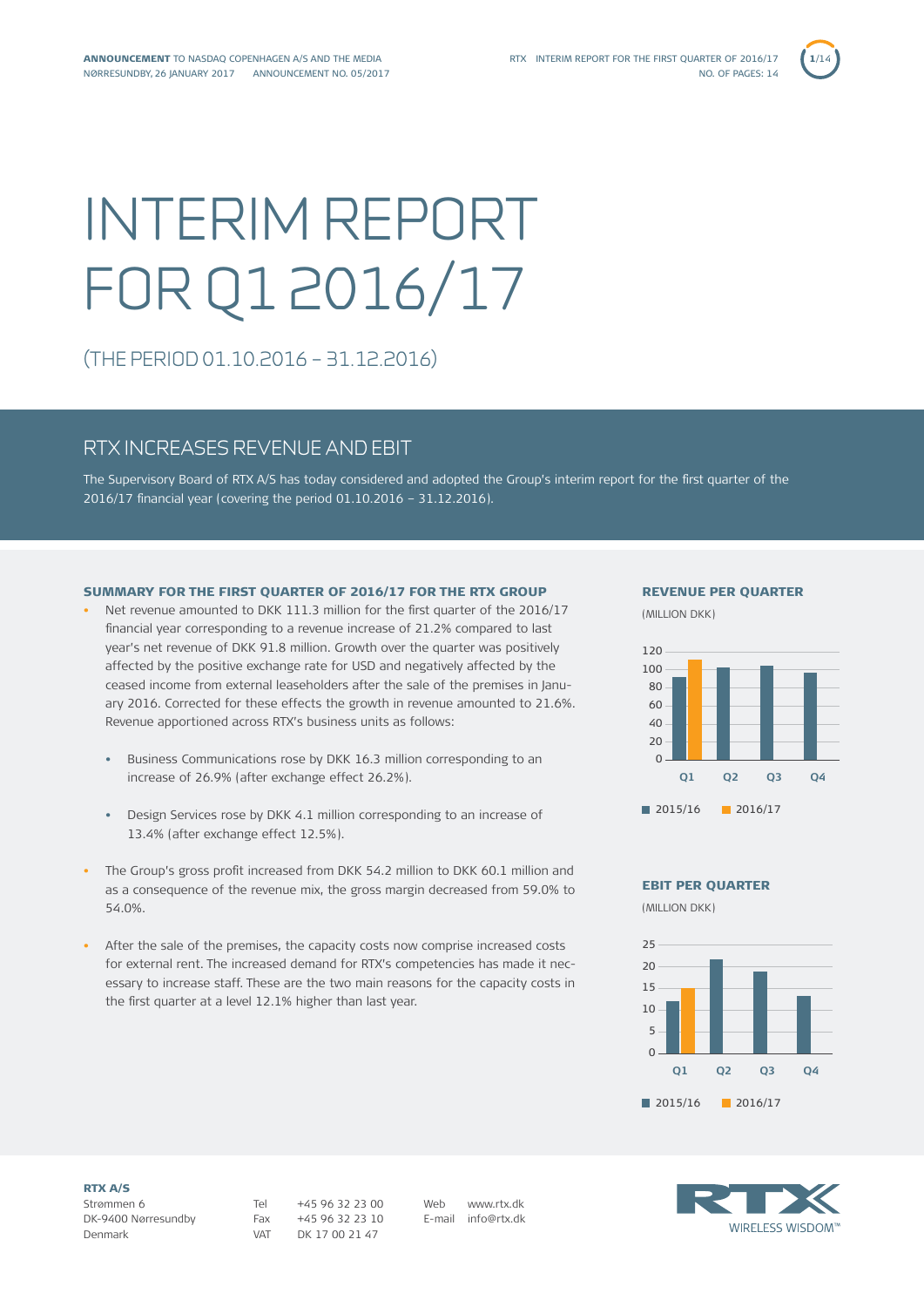# INTERIM REPORT FOR Q1 2016/17

(THE PERIOD 01.10.2016 – 31.12.2016)

# RTX INCREASES REVENUE AND EBIT

The Supervisory Board of RTX A/S has today considered and adopted the Group's interim report for the first quarter of the 2016/17 financial year (covering the period 01.10.2016 – 31.12.2016).

# SUMMARY FOR THE FIRST QUARTER OF 2016/17 FOR THE RTX GROUP

- Net revenue amounted to DKK 111.3 million for the first quarter of the 2016/17 financial year corresponding to a revenue increase of 21.2% compared to last year's net revenue of DKK 91.8 million. Growth over the quarter was positively affected by the positive exchange rate for USD and negatively affected by the ceased income from external leaseholders after the sale of the premises in January 2016. Corrected for these effects the growth in revenue amounted to 21.6%. Revenue apportioned across RTX's business units as follows:
	- Business Communications rose by DKK 16.3 million corresponding to an increase of 26.9% (after exchange effect 26.2%).
	- Design Services rose by DKK 4.1 million corresponding to an increase of 13.4% (after exchange effect 12.5%).
- The Group's gross profit increased from DKK 54.2 million to DKK 60.1 million and as a consequence of the revenue mix, the gross margin decreased from 59.0% to 54.0%.
- After the sale of the premises, the capacity costs now comprise increased costs for external rent. The increased demand for RTX's competencies has made it necessary to increase staff. These are the two main reasons for the capacity costs in the first quarter at a level 12.1% higher than last year.

### REVENUE PER QUARTER

(MILLION DKK)



EBIT PER QUARTER

(MILLION DKK)



RTX A/S Strømmen 6 DK-9400 Nørresundby Denmark

VAT DK 17 00 21 47

Tel +45 96 32 23 00 Fax +45 96 32 23 10 Web www.rtx.dk E-mail info@rtx.dk

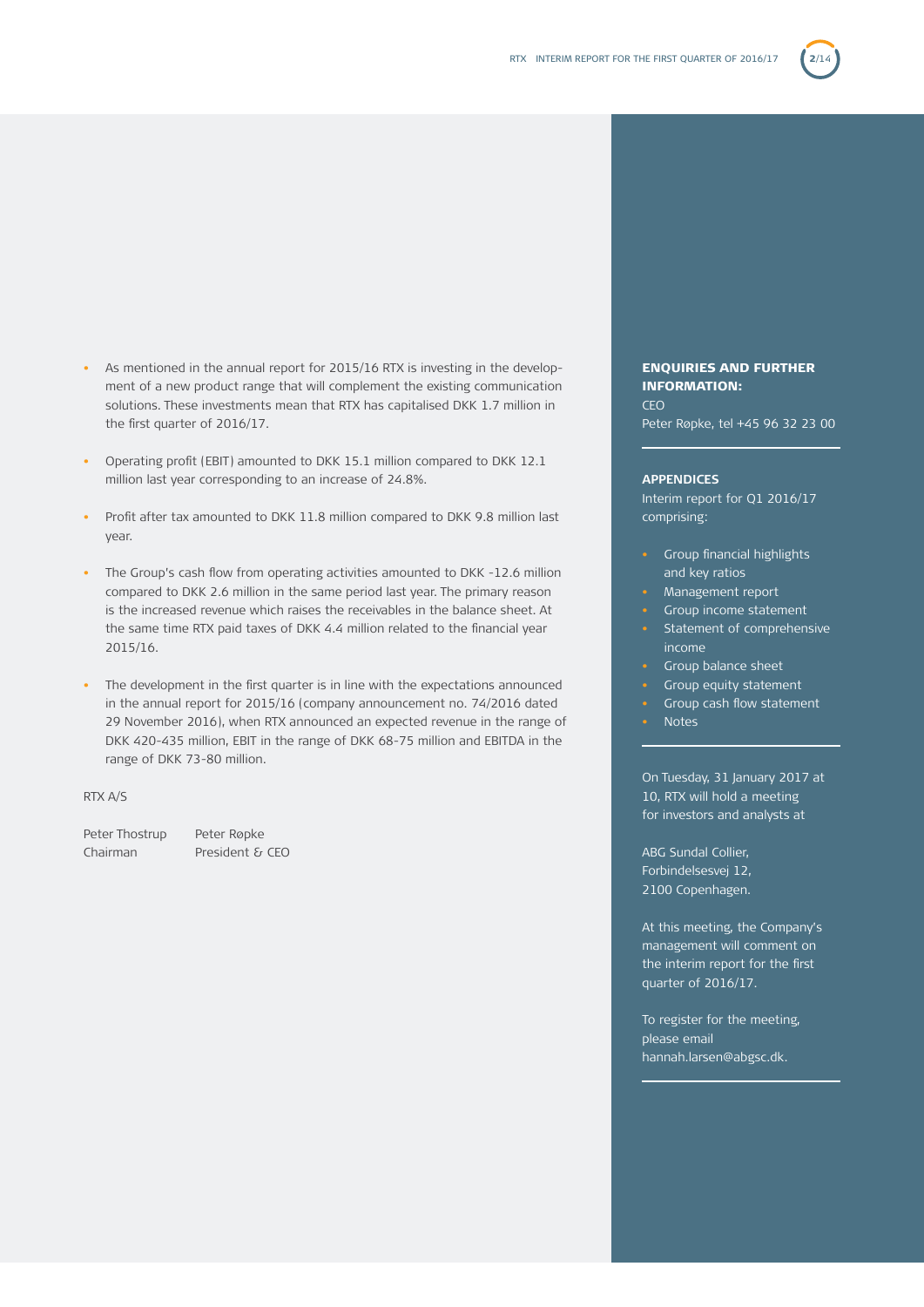

- As mentioned in the annual report for 2015/16 RTX is investing in the development of a new product range that will complement the existing communication solutions. These investments mean that RTX has capitalised DKK 1.7 million in the first quarter of 2016/17.
- Operating profit (EBIT) amounted to DKK 15.1 million compared to DKK 12.1 million last year corresponding to an increase of 24.8%.
- Profit after tax amounted to DKK 11.8 million compared to DKK 9.8 million last year.
- The Group's cash flow from operating activities amounted to DKK -12.6 million compared to DKK 2.6 million in the same period last year. The primary reason is the increased revenue which raises the receivables in the balance sheet. At the same time RTX paid taxes of DKK 4.4 million related to the financial year 2015/16.
- The development in the first quarter is in line with the expectations announced in the annual report for 2015/16 (company announcement no. 74/2016 dated 29 November 2016), when RTX announced an expected revenue in the range of DKK 420-435 million, EBIT in the range of DKK 68-75 million and EBITDA in the range of DKK 73-80 million.

### RTX A/S

Peter Thostrup Peter Røpke Chairman President & CEO

## ENQUIRIES AND FURTHER INFORMATION:

CEO Peter Røpke, tel +45 96 32 23 00

### **APPENDICES**

Interim report for Q1 2016/17 comprising:

- Group financial highlights and key ratios
- Management report
- Group income statement
- Statement of comprehensive income
- Group balance sheet
- Group equity statement
- Group cash flow statement
- Notes

On Tuesday, 31 January 2017 at 10, RTX will hold a meeting for investors and analysts at

ABG Sundal Collier, Forbindelsesvej 12, 2100 Copenhagen.

At this meeting, the Company's management will comment on the interim report for the first quarter of 2016/17.

To register for the meeting, please email hannah.larsen@abgsc.dk.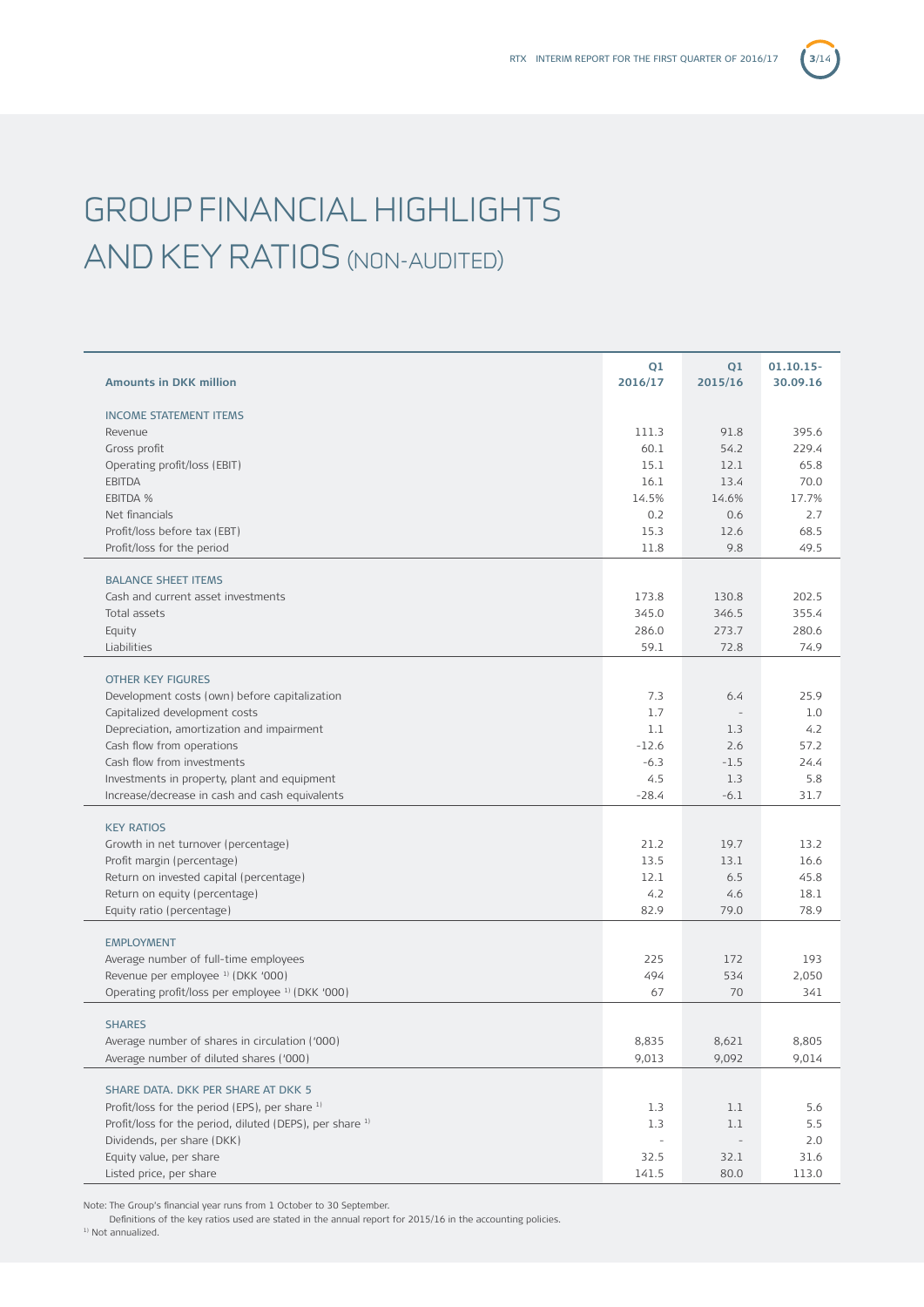# GROUP FINANCIAL HIGHLIGHTS AND KEY RATIOS (NON-AUDITED)

| <b>Amounts in DKK million</b>                                                             | Q1<br>2016/17            | Q1<br>2015/16  | 01.10.15-<br>30.09.16 |
|-------------------------------------------------------------------------------------------|--------------------------|----------------|-----------------------|
| <b>INCOME STATEMENT ITEMS</b>                                                             |                          |                |                       |
| Revenue                                                                                   | 111.3                    | 91.8           | 395.6                 |
| Gross profit                                                                              | 60.1                     | 54.2           | 229.4                 |
| Operating profit/loss (EBIT)                                                              | 15.1                     | 12.1           | 65.8                  |
| <b>EBITDA</b>                                                                             | 16.1                     | 13.4           | 70.0                  |
| EBITDA %                                                                                  | 14.5%                    | 14.6%          | 17.7%                 |
| Net financials                                                                            | 0.2                      | 0.6            | 2.7                   |
| Profit/loss before tax (EBT)                                                              | 15.3                     | 12.6           | 68.5                  |
| Profit/loss for the period                                                                | 11.8                     | 9.8            | 49.5                  |
| <b>BALANCE SHEET ITEMS</b>                                                                |                          |                |                       |
| Cash and current asset investments                                                        | 173.8                    | 130.8          | 202.5                 |
| Total assets                                                                              | 345.0                    | 346.5          | 355.4                 |
| Equity                                                                                    | 286.0                    | 273.7          | 280.6                 |
| Liabilities                                                                               | 59.1                     | 72.8           | 74.9                  |
| <b>OTHER KEY FIGURES</b>                                                                  |                          |                |                       |
| Development costs (own) before capitalization                                             | 7.3                      | 6.4            | 25.9                  |
| Capitalized development costs                                                             | 1.7                      |                | 1.0                   |
| Depreciation, amortization and impairment                                                 | 1.1                      | 1.3            | 4.2                   |
| Cash flow from operations                                                                 | $-12.6$                  | 2.6            | 57.2                  |
| Cash flow from investments                                                                | $-6.3$                   | $-1.5$         | 24.4                  |
| Investments in property, plant and equipment                                              | 4.5                      | 1.3            | 5.8                   |
| Increase/decrease in cash and cash equivalents                                            | $-28.4$                  | $-6.1$         | 31.7                  |
| <b>KEY RATIOS</b>                                                                         |                          |                |                       |
| Growth in net turnover (percentage)                                                       | 21.2                     | 19.7           | 13.2                  |
| Profit margin (percentage)                                                                | 13.5                     | 13.1           | 16.6                  |
| Return on invested capital (percentage)                                                   | 12.1                     | 6.5            | 45.8                  |
| Return on equity (percentage)                                                             | 4.2                      | 4.6            | 18.1                  |
| Equity ratio (percentage)                                                                 | 82.9                     | 79.0           | 78.9                  |
| <b>EMPLOYMENT</b>                                                                         |                          |                |                       |
| Average number of full-time employees                                                     | 225                      | 172            | 193                   |
| Revenue per employee <sup>1)</sup> (DKK '000)                                             | 494                      | 534            | 2,050                 |
| Operating profit/loss per employee <sup>1)</sup> (DKK '000)                               | 67                       | 70             | 341                   |
| <b>SHARES</b>                                                                             |                          |                |                       |
|                                                                                           | 8,835                    |                | 8.805                 |
| Average number of shares in circulation ('000)<br>Average number of diluted shares ('000) | 9,013                    | 8,621<br>9,092 | 9,014                 |
|                                                                                           |                          |                |                       |
| SHARE DATA. DKK PER SHARE AT DKK 5                                                        |                          |                |                       |
| Profit/loss for the period (EPS), per share 1)                                            | 1.3                      | 1.1            | 5.6                   |
| Profit/loss for the period, diluted (DEPS), per share 1)                                  | 1.3                      | 1.1            | 5.5                   |
| Dividends, per share (DKK)                                                                | $\overline{\phantom{a}}$ |                | 2.0                   |
| Equity value, per share                                                                   | 32.5                     | 32.1           | 31.6                  |
| Listed price, per share                                                                   | 141.5                    | 80.0           | 113.0                 |

Note: The Group's financial year runs from 1 October to 30 September.

Definitions of the key ratios used are stated in the annual report for 2015/16 in the accounting policies.

<sup>1)</sup> Not annualized.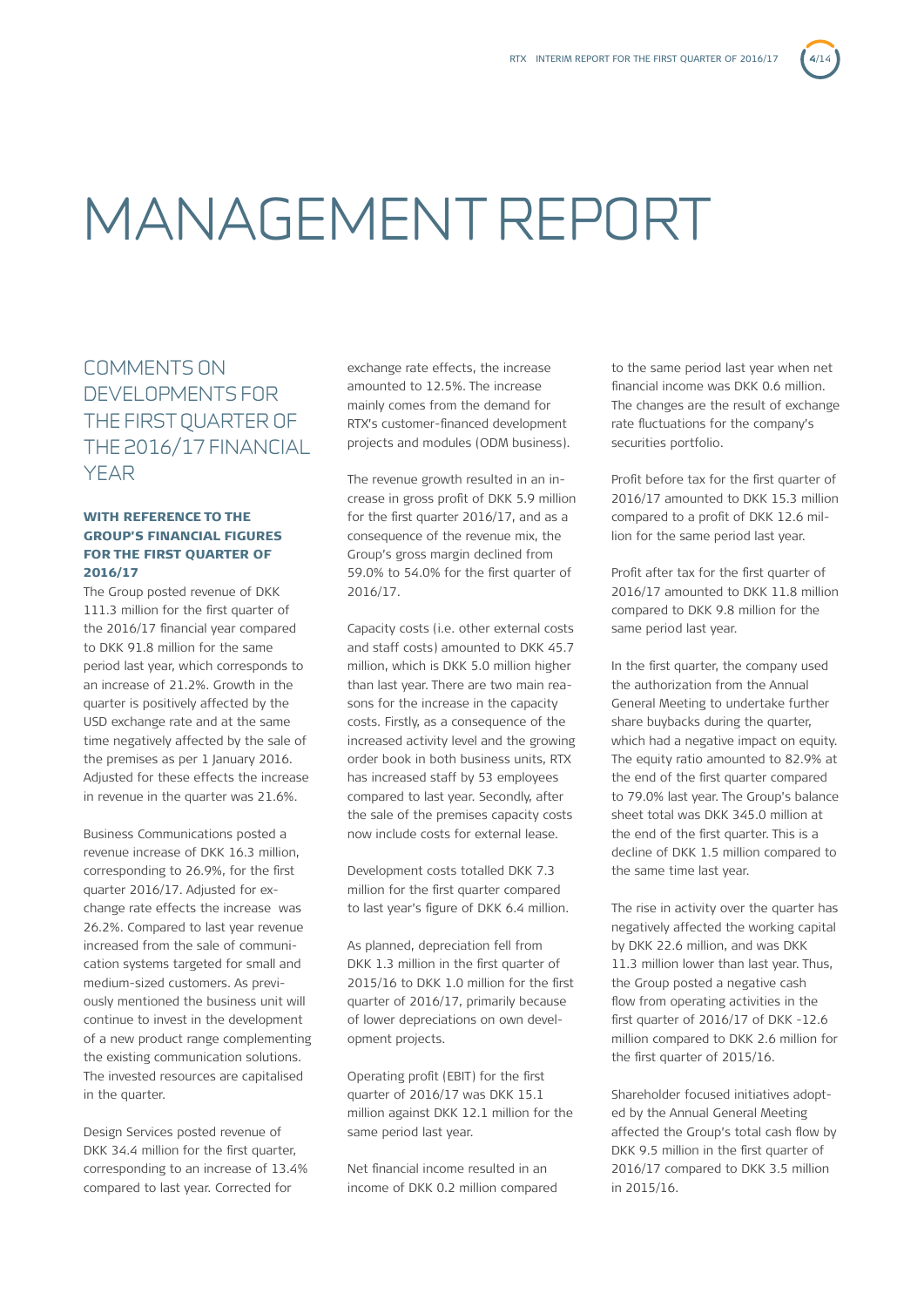# MANAGEMENT REPORT

COMMENTS ON DEVELOPMENTS FOR THE FIRST QUARTER OF THE 2016/17 FINANCIAL YEAR

## WITH REFERENCE TO THE GROUP'S FINANCIAL FIGURES FOR THE FIRST QUARTER OF 2016/17

The Group posted revenue of DKK 111.3 million for the first quarter of the 2016/17 financial year compared to DKK 91.8 million for the same period last year, which corresponds to an increase of 21.2%. Growth in the quarter is positively affected by the USD exchange rate and at the same time negatively affected by the sale of the premises as per 1 January 2016. Adjusted for these effects the increase in revenue in the quarter was 21.6%.

Business Communications posted a revenue increase of DKK 16.3 million, corresponding to 26.9%, for the first quarter 2016/17. Adjusted for exchange rate effects the increase was 26.2%. Compared to last year revenue increased from the sale of communication systems targeted for small and medium-sized customers. As previously mentioned the business unit will continue to invest in the development of a new product range complementing the existing communication solutions. The invested resources are capitalised in the quarter.

Design Services posted revenue of DKK 34.4 million for the first quarter, corresponding to an increase of 13.4% compared to last year. Corrected for

exchange rate effects, the increase amounted to 12.5%. The increase mainly comes from the demand for RTX's customer-financed development projects and modules (ODM business).

The revenue growth resulted in an increase in gross profit of DKK 5.9 million for the first quarter 2016/17, and as a consequence of the revenue mix, the Group's gross margin declined from 59.0% to 54.0% for the first quarter of 2016/17.

Capacity costs (i.e. other external costs and staff costs) amounted to DKK 45.7 million, which is DKK 5.0 million higher than last year. There are two main reasons for the increase in the capacity costs. Firstly, as a consequence of the increased activity level and the growing order book in both business units, RTX has increased staff by 53 employees compared to last year. Secondly, after the sale of the premises capacity costs now include costs for external lease.

Development costs totalled DKK 7.3 million for the first quarter compared to last year's figure of DKK 6.4 million.

As planned, depreciation fell from DKK 1.3 million in the first quarter of 2015/16 to DKK 1.0 million for the first quarter of 2016/17, primarily because of lower depreciations on own development projects.

Operating profit (EBIT) for the first quarter of 2016/17 was DKK 15.1 million against DKK 12.1 million for the same period last year.

Net financial income resulted in an income of DKK 0.2 million compared

to the same period last year when net financial income was DKK 0.6 million. The changes are the result of exchange rate fluctuations for the company's securities portfolio.

Profit before tax for the first quarter of 2016/17 amounted to DKK 15.3 million compared to a profit of DKK 12.6 million for the same period last year.

Profit after tax for the first quarter of 2016/17 amounted to DKK 11.8 million compared to DKK 9.8 million for the same period last year.

In the first quarter, the company used the authorization from the Annual General Meeting to undertake further share buybacks during the quarter, which had a negative impact on equity. The equity ratio amounted to 82.9% at the end of the first quarter compared to 79.0% last year. The Group's balance sheet total was DKK 345.0 million at the end of the first quarter. This is a decline of DKK 1.5 million compared to the same time last year.

The rise in activity over the quarter has negatively affected the working capital by DKK 22.6 million, and was DKK 11.3 million lower than last year. Thus, the Group posted a negative cash flow from operating activities in the first quarter of 2016/17 of DKK -12.6 million compared to DKK 2.6 million for the first quarter of 2015/16.

Shareholder focused initiatives adopted by the Annual General Meeting affected the Group's total cash flow by DKK 9.5 million in the first quarter of 2016/17 compared to DKK 3.5 million in 2015/16.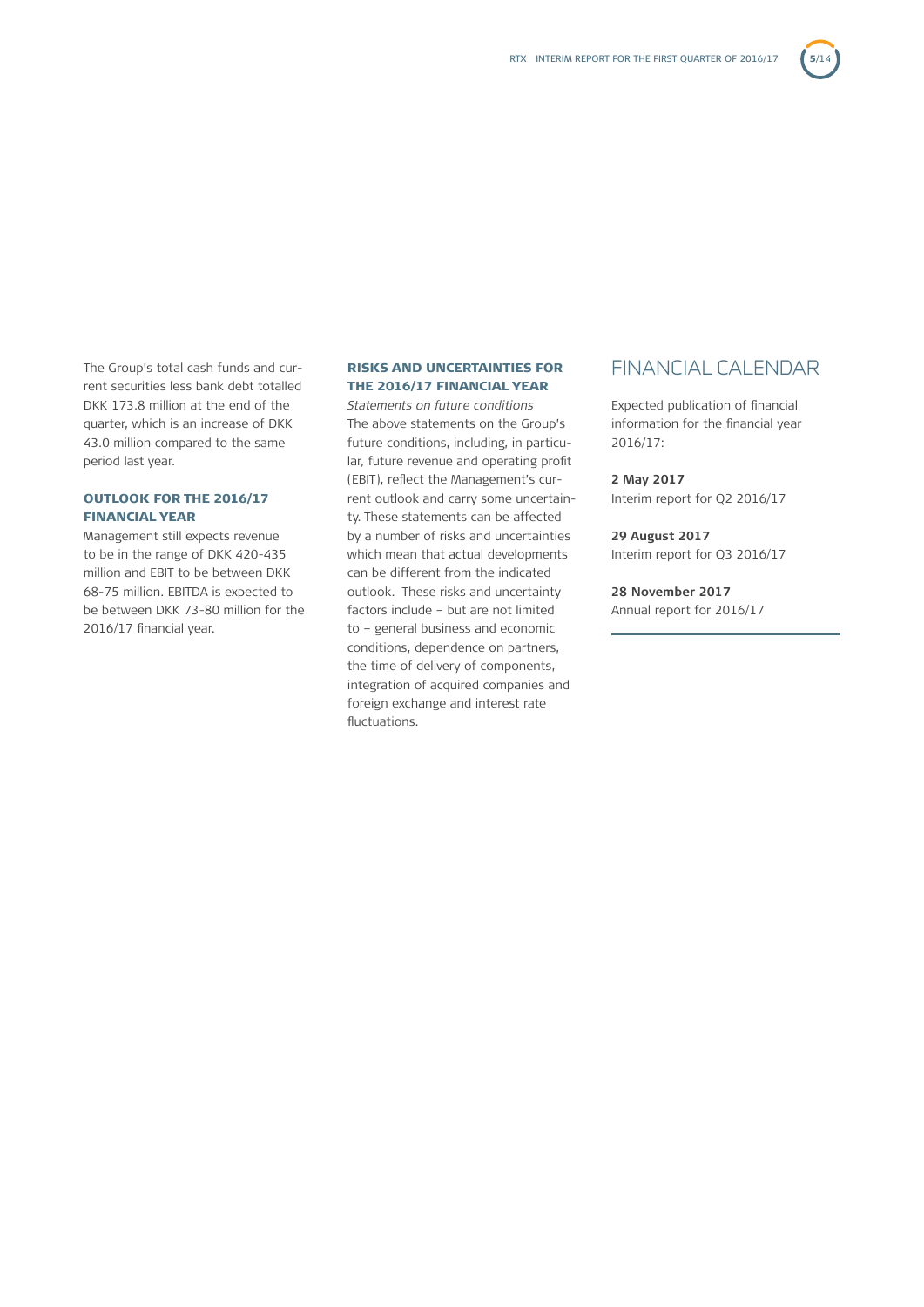The Group's total cash funds and current securities less bank debt totalled DKK 173.8 million at the end of the quarter, which is an increase of DKK 43.0 million compared to the same period last year.

### OUTLOOK FOR THE 2016/17 FINANCIAL YEAR

Management still expects revenue to be in the range of DKK 420-435 million and EBIT to be between DKK 68-75 million. EBITDA is expected to be between DKK 73-80 million for the 2016/17 financial year.

## RISKS AND UNCERTAINTIES FOR THE 2016/17 FINANCIAL YEAR

*Statements on future conditions*  The above statements on the Group's future conditions, including, in particular, future revenue and operating profit (EBIT), reflect the Management's current outlook and carry some uncertainty. These statements can be affected by a number of risks and uncertainties which mean that actual developments can be different from the indicated outlook. These risks and uncertainty factors include – but are not limited to – general business and economic conditions, dependence on partners, the time of delivery of components, integration of acquired companies and foreign exchange and interest rate fluctuations.

# FINANCIAL CALENDAR

Expected publication of financial information for the financial year 2016/17:

# **2 May 2017**

Interim report for Q2 2016/17

**29 August 2017** Interim report for Q3 2016/17

**28 November 2017** Annual report for 2016/17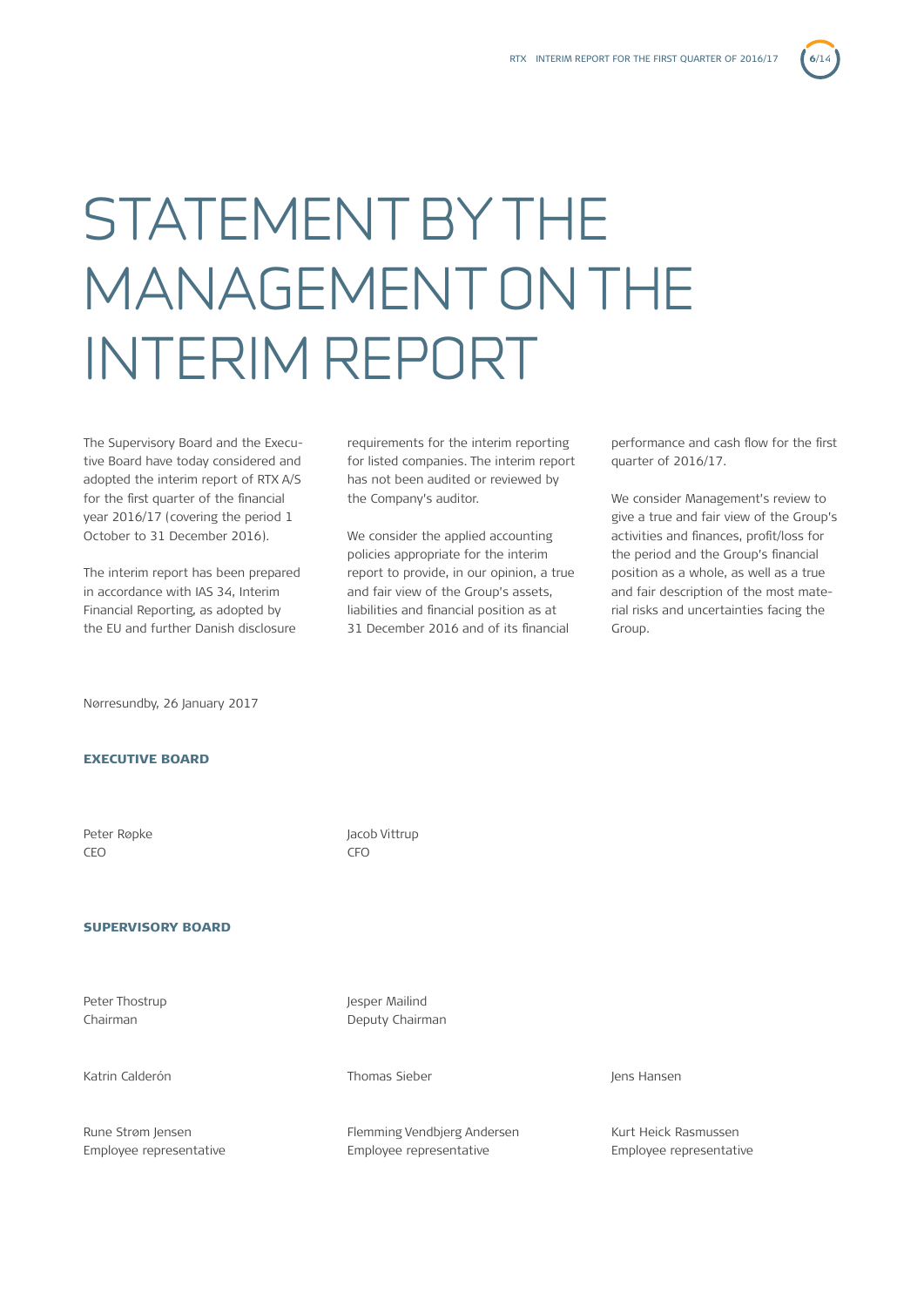# STATEMENT BY THE MANAGEMENT ON THE INTERIM REPORT

The Supervisory Board and the Executive Board have today considered and adopted the interim report of RTX A/S for the first quarter of the financial year 2016/17 (covering the period 1 October to 31 December 2016).

The interim report has been prepared in accordance with IAS 34, Interim Financial Reporting, as adopted by the EU and further Danish disclosure

requirements for the interim reporting for listed companies. The interim report has not been audited or reviewed by the Company's auditor.

We consider the applied accounting policies appropriate for the interim report to provide, in our opinion, a true and fair view of the Group's assets, liabilities and financial position as at 31 December 2016 and of its financial

performance and cash flow for the first quarter of 2016/17.

We consider Management's review to give a true and fair view of the Group's activities and finances, profit/loss for the period and the Group's financial position as a whole, as well as a true and fair description of the most material risks and uncertainties facing the Group.

Nørresundby, 26 January 2017

## EXECUTIVE BOARD

CEO CFO

### SUPERVISORY BOARD

Peter Thostrup **Jesus** Lesper Mailind

Katrin Calderón **Thomas Sieber** Jens Hansen Jens Hansen

Peter Røpke Jacob Vittrup

Chairman **Deputy Chairman** 

Rune Strøm Jensen Tennessen Flemming Vendbierg Andersen Kurt Heick Rasmussen Employee representative Employee representative Employee representative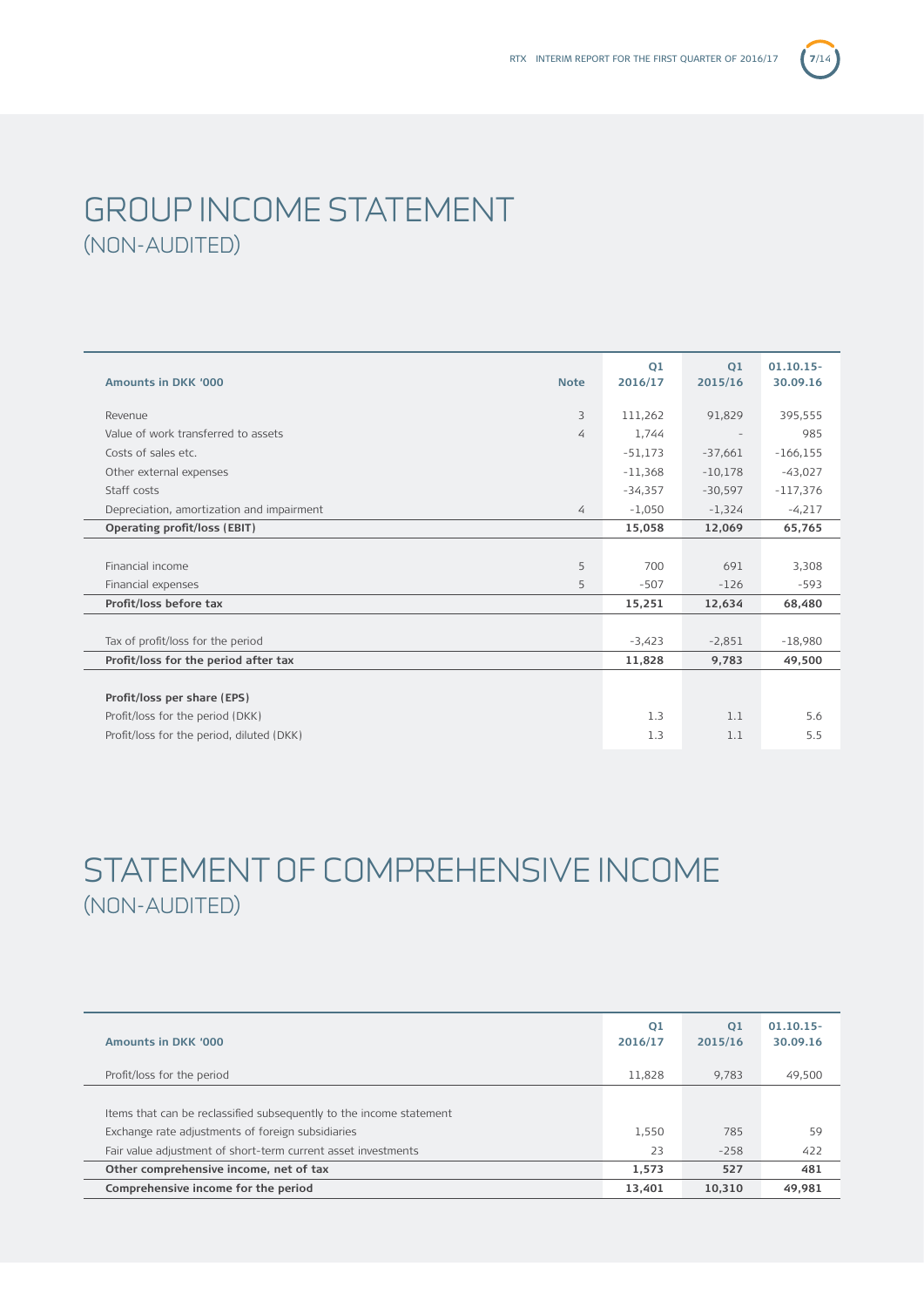# GROUP INCOME STATEMENT (NON-AUDITED)

| <b>Amounts in DKK '000</b>                | <b>Note</b> | 01<br>2016/17 | 01<br>2015/16 | $01.10.15 -$<br>30.09.16 |
|-------------------------------------------|-------------|---------------|---------------|--------------------------|
| Revenue                                   | 3           | 111,262       | 91,829        | 395,555                  |
| Value of work transferred to assets       | 4           | 1,744         |               | 985                      |
| Costs of sales etc.                       |             | $-51,173$     | $-37,661$     | $-166, 155$              |
| Other external expenses                   |             | $-11,368$     | $-10,178$     | $-43,027$                |
| Staff costs                               |             | $-34,357$     | $-30,597$     | $-117,376$               |
| Depreciation, amortization and impairment | 4           | $-1,050$      | $-1,324$      | $-4,217$                 |
| Operating profit/loss (EBIT)              |             | 15,058        | 12,069        | 65,765                   |
|                                           |             |               |               |                          |
| Financial income                          | 5           | 700           | 691           | 3,308                    |
| Financial expenses                        | 5           | $-507$        | $-126$        | $-593$                   |
| Profit/loss before tax                    |             | 15,251        | 12,634        | 68,480                   |
|                                           |             |               |               |                          |
| Tax of profit/loss for the period         |             | $-3,423$      | $-2,851$      | $-18,980$                |
| Profit/loss for the period after tax      |             | 11,828        | 9,783         | 49,500                   |
|                                           |             |               |               |                          |
| Profit/loss per share (EPS)               |             |               |               |                          |
| Profit/loss for the period (DKK)          |             | 1.3           | 1.1           | 5.6                      |
| Profit/loss for the period, diluted (DKK) |             | 1.3           | 1.1           | 5.5                      |

# STATEMENT OF COMPREHENSIVE INCOME (NON-AUDITED)

| Amounts in DKK '000                                                 | 01<br>2016/17 | O <sub>1</sub><br>2015/16 | $01.10.15 -$<br>30.09.16 |
|---------------------------------------------------------------------|---------------|---------------------------|--------------------------|
| Profit/loss for the period                                          | 11,828        | 9.783                     | 49,500                   |
|                                                                     |               |                           |                          |
| Items that can be reclassified subsequently to the income statement |               |                           |                          |
| Exchange rate adjustments of foreign subsidiaries                   | 1,550         | 785                       | 59                       |
| Fair value adjustment of short-term current asset investments       | 23            | $-258$                    | 422                      |
| Other comprehensive income, net of tax                              | 1.573         | 527                       | 481                      |
| Comprehensive income for the period                                 | 13.401        | 10.310                    | 49.981                   |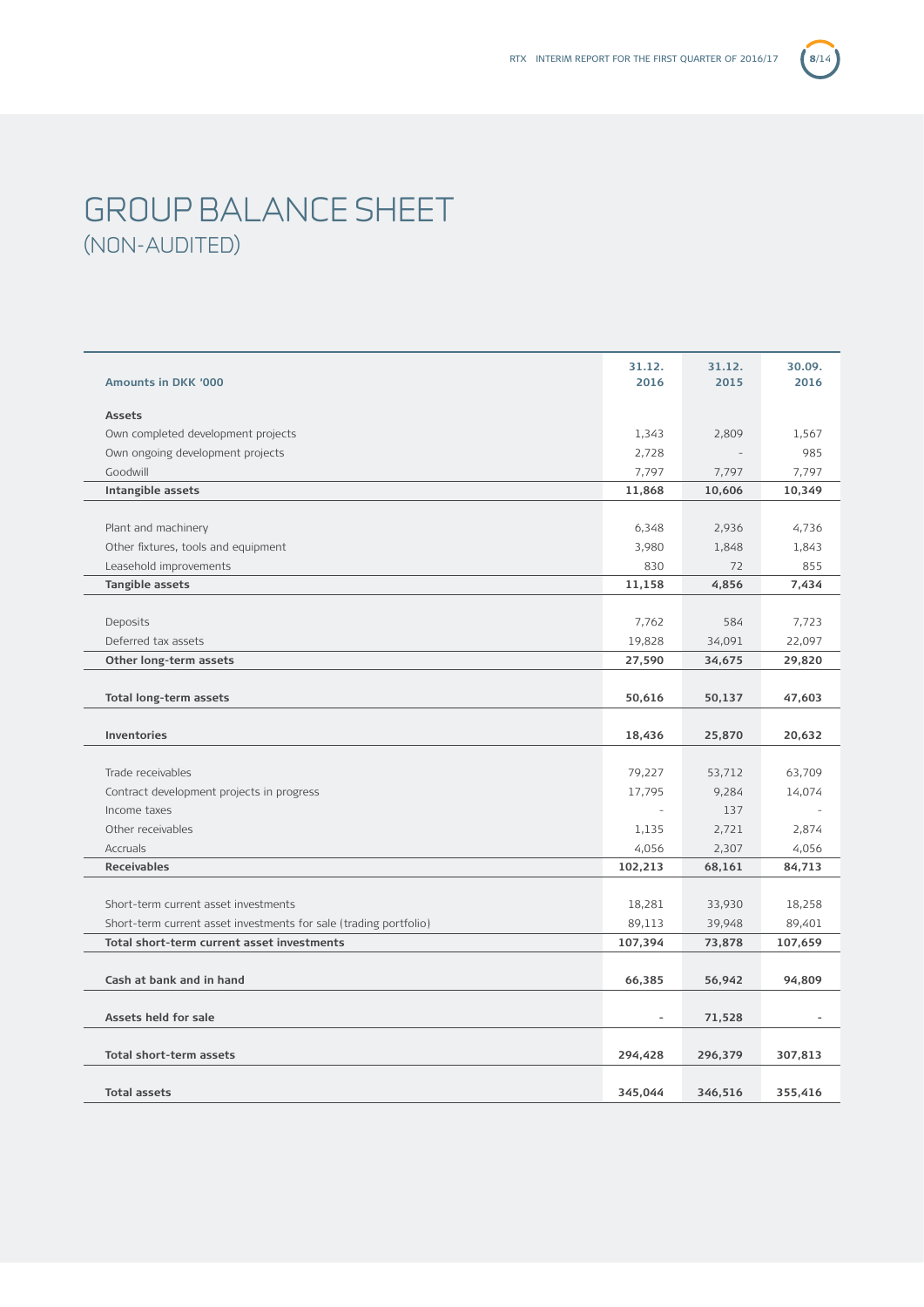# GROUP BALANCE SHEET (NON-AUDITED)

|                                                                   | 31.12.  | 31.12.  | 30.09.  |
|-------------------------------------------------------------------|---------|---------|---------|
| Amounts in DKK '000                                               | 2016    | 2015    | 2016    |
|                                                                   |         |         |         |
| <b>Assets</b>                                                     |         |         |         |
| Own completed development projects                                | 1,343   | 2,809   | 1,567   |
| Own ongoing development projects                                  | 2,728   |         | 985     |
| Goodwill                                                          | 7,797   | 7,797   | 7,797   |
| Intangible assets                                                 | 11,868  | 10,606  | 10,349  |
|                                                                   |         |         |         |
| Plant and machinery                                               | 6,348   | 2,936   | 4,736   |
| Other fixtures, tools and equipment                               | 3,980   | 1,848   | 1,843   |
| Leasehold improvements                                            | 830     | 72      | 855     |
| Tangible assets                                                   | 11,158  | 4,856   | 7,434   |
|                                                                   |         |         |         |
| Deposits                                                          | 7,762   | 584     | 7,723   |
| Deferred tax assets                                               | 19,828  | 34,091  | 22,097  |
| Other long-term assets                                            | 27,590  | 34,675  | 29,820  |
|                                                                   |         |         |         |
| Total long-term assets                                            | 50,616  | 50,137  | 47,603  |
|                                                                   |         |         |         |
| <b>Inventories</b>                                                | 18,436  | 25,870  | 20,632  |
|                                                                   |         |         |         |
| Trade receivables                                                 | 79,227  | 53,712  | 63,709  |
| Contract development projects in progress                         | 17,795  | 9,284   | 14,074  |
| Income taxes                                                      |         | 137     |         |
| Other receivables                                                 | 1,135   | 2,721   | 2,874   |
| Accruals                                                          | 4,056   | 2,307   | 4,056   |
| <b>Receivables</b>                                                | 102,213 | 68,161  | 84,713  |
|                                                                   |         |         |         |
| Short-term current asset investments                              | 18,281  | 33,930  | 18,258  |
| Short-term current asset investments for sale (trading portfolio) | 89,113  | 39,948  | 89,401  |
| Total short-term current asset investments                        | 107,394 | 73,878  | 107,659 |
|                                                                   |         |         |         |
| Cash at bank and in hand                                          | 66,385  | 56,942  | 94,809  |
|                                                                   |         |         |         |
|                                                                   |         |         |         |
| Assets held for sale                                              |         | 71,528  |         |
| Total short-term assets                                           |         |         |         |
|                                                                   |         |         |         |
|                                                                   | 294,428 | 296,379 | 307,813 |
| <b>Total assets</b>                                               | 345,044 | 346,516 | 355,416 |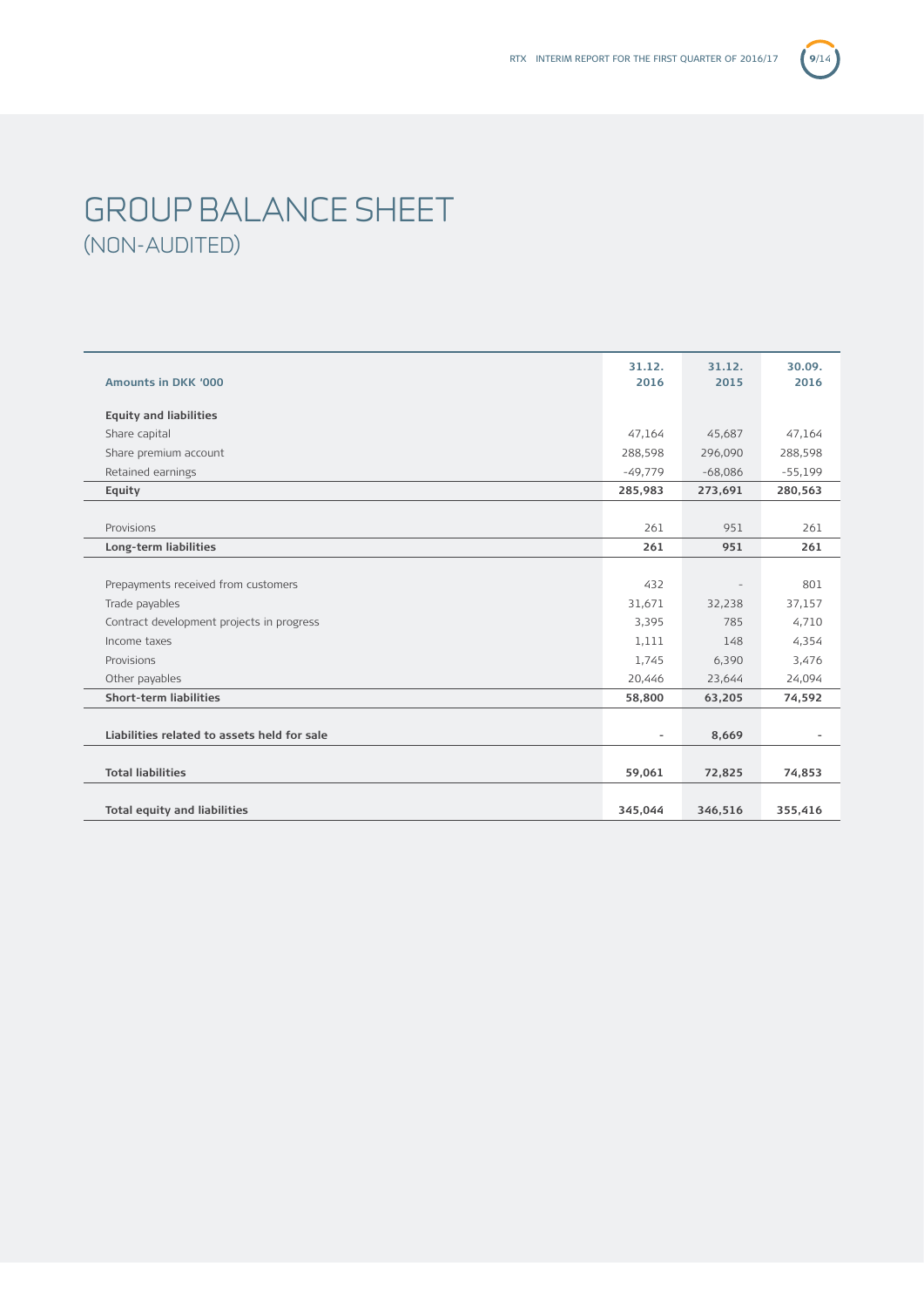# GROUP BALANCE SHEET (NON-AUDITED)

|                                             | 31.12.                       | 31.12.    | 30.09.    |
|---------------------------------------------|------------------------------|-----------|-----------|
| <b>Amounts in DKK '000</b>                  | 2016                         | 2015      | 2016      |
| <b>Equity and liabilities</b>               |                              |           |           |
| Share capital                               | 47,164                       | 45,687    | 47,164    |
| Share premium account                       | 288,598                      | 296,090   | 288,598   |
| Retained earnings                           | $-49,779$                    | $-68,086$ | $-55,199$ |
| Equity                                      | 285,983                      | 273,691   | 280,563   |
|                                             |                              |           |           |
| Provisions                                  | 261                          | 951       | 261       |
| Long-term liabilities                       | 261                          | 951       | 261       |
|                                             |                              |           |           |
| Prepayments received from customers         | 432                          |           | 801       |
| Trade payables                              | 31,671                       | 32,238    | 37,157    |
| Contract development projects in progress   | 3,395                        | 785       | 4,710     |
| Income taxes                                | 1,111                        | 148       | 4,354     |
| Provisions                                  | 1,745                        | 6,390     | 3,476     |
| Other payables                              | 20,446                       | 23,644    | 24,094    |
| <b>Short-term liabilities</b>               | 58,800                       | 63,205    | 74,592    |
|                                             |                              |           |           |
| Liabilities related to assets held for sale | $\qquad \qquad \blacksquare$ | 8,669     |           |
|                                             |                              |           |           |
| <b>Total liabilities</b>                    | 59,061                       | 72,825    | 74,853    |
|                                             |                              |           |           |
| <b>Total equity and liabilities</b>         | 345,044                      | 346,516   | 355,416   |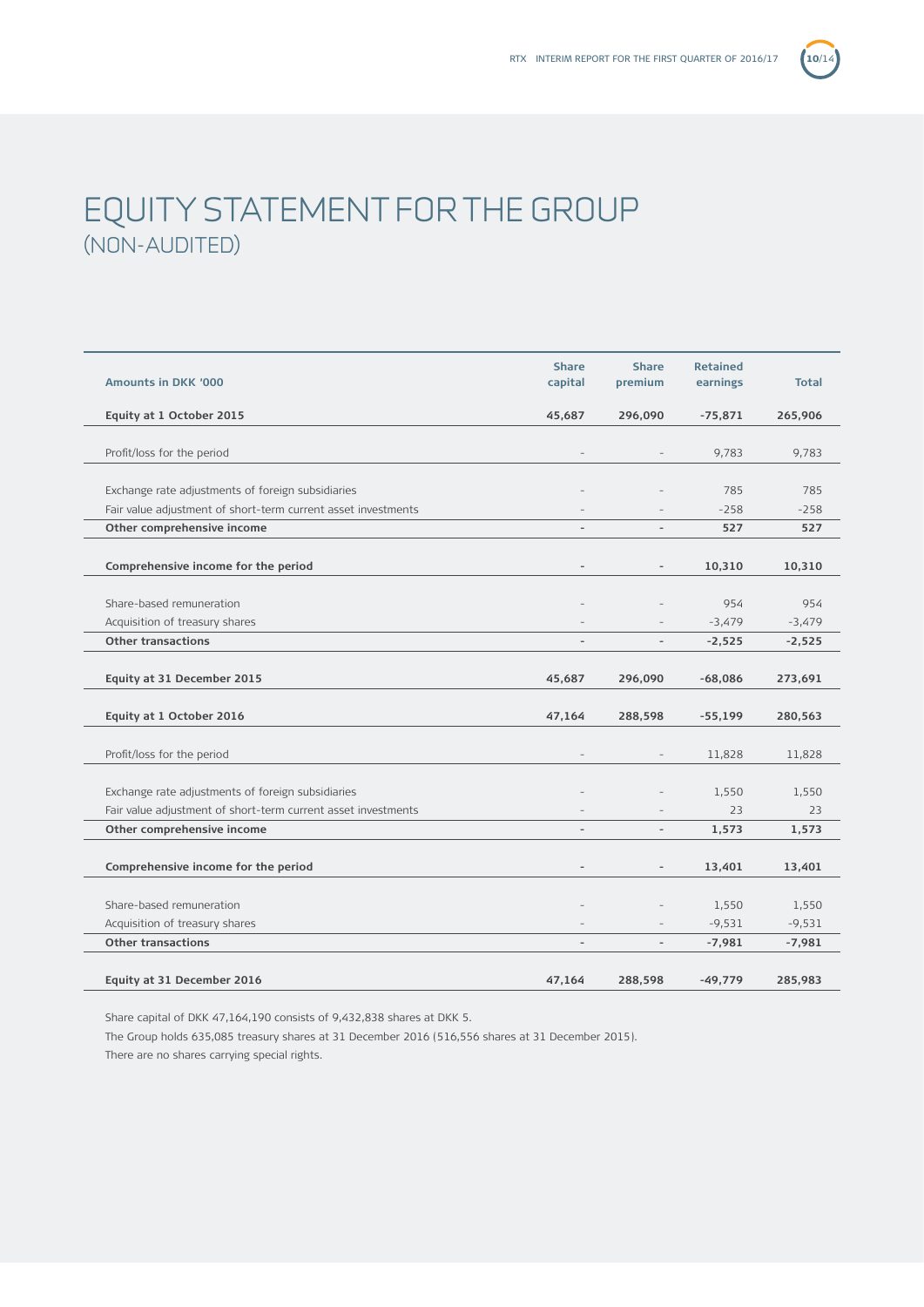

# EQUITY STATEMENT FOR THE GROUP (NON-AUDITED)

| <b>Amounts in DKK '000</b>                                    | <b>Share</b><br>capital  | <b>Share</b><br>premium  | <b>Retained</b><br>earnings | <b>Total</b> |
|---------------------------------------------------------------|--------------------------|--------------------------|-----------------------------|--------------|
| Equity at 1 October 2015                                      | 45,687                   | 296,090                  | $-75,871$                   | 265,906      |
|                                                               |                          |                          |                             |              |
| Profit/loss for the period                                    |                          |                          | 9,783                       | 9,783        |
| Exchange rate adjustments of foreign subsidiaries             |                          |                          | 785                         | 785          |
| Fair value adjustment of short-term current asset investments |                          |                          | $-258$                      | $-258$       |
| Other comprehensive income                                    |                          | $\overline{\phantom{a}}$ | 527                         | 527          |
|                                                               |                          |                          |                             |              |
| Comprehensive income for the period                           |                          |                          | 10,310                      | 10,310       |
|                                                               |                          |                          |                             |              |
| Share-based remuneration                                      |                          |                          | 954                         | 954          |
| Acquisition of treasury shares                                |                          |                          | $-3,479$                    | $-3,479$     |
| <b>Other transactions</b>                                     | $\overline{\phantom{a}}$ |                          | $-2,525$                    | $-2,525$     |
|                                                               |                          |                          |                             |              |
| Equity at 31 December 2015                                    | 45,687                   | 296,090                  | $-68,086$                   | 273,691      |
|                                                               |                          |                          |                             |              |
| Equity at 1 October 2016                                      | 47,164                   | 288,598                  | $-55,199$                   | 280,563      |
| Profit/loss for the period                                    |                          |                          | 11,828                      | 11,828       |
|                                                               |                          |                          |                             |              |
| Exchange rate adjustments of foreign subsidiaries             |                          |                          | 1,550                       | 1,550        |
| Fair value adjustment of short-term current asset investments |                          |                          | 23                          | 23           |
| Other comprehensive income                                    |                          |                          | 1,573                       | 1,573        |
|                                                               |                          |                          |                             |              |
| Comprehensive income for the period                           |                          | $\overline{\phantom{a}}$ | 13,401                      | 13,401       |
|                                                               |                          |                          |                             |              |
| Share-based remuneration                                      |                          |                          | 1,550                       | 1,550        |
| Acquisition of treasury shares                                |                          |                          | $-9,531$                    | $-9,531$     |
| <b>Other transactions</b>                                     |                          |                          | $-7,981$                    | $-7,981$     |
| Equity at 31 December 2016                                    | 47,164                   | 288,598                  | $-49,779$                   | 285,983      |

Share capital of DKK 47,164,190 consists of 9,432,838 shares at DKK 5.

The Group holds 635,085 treasury shares at 31 December 2016 (516,556 shares at 31 December 2015).

There are no shares carrying special rights.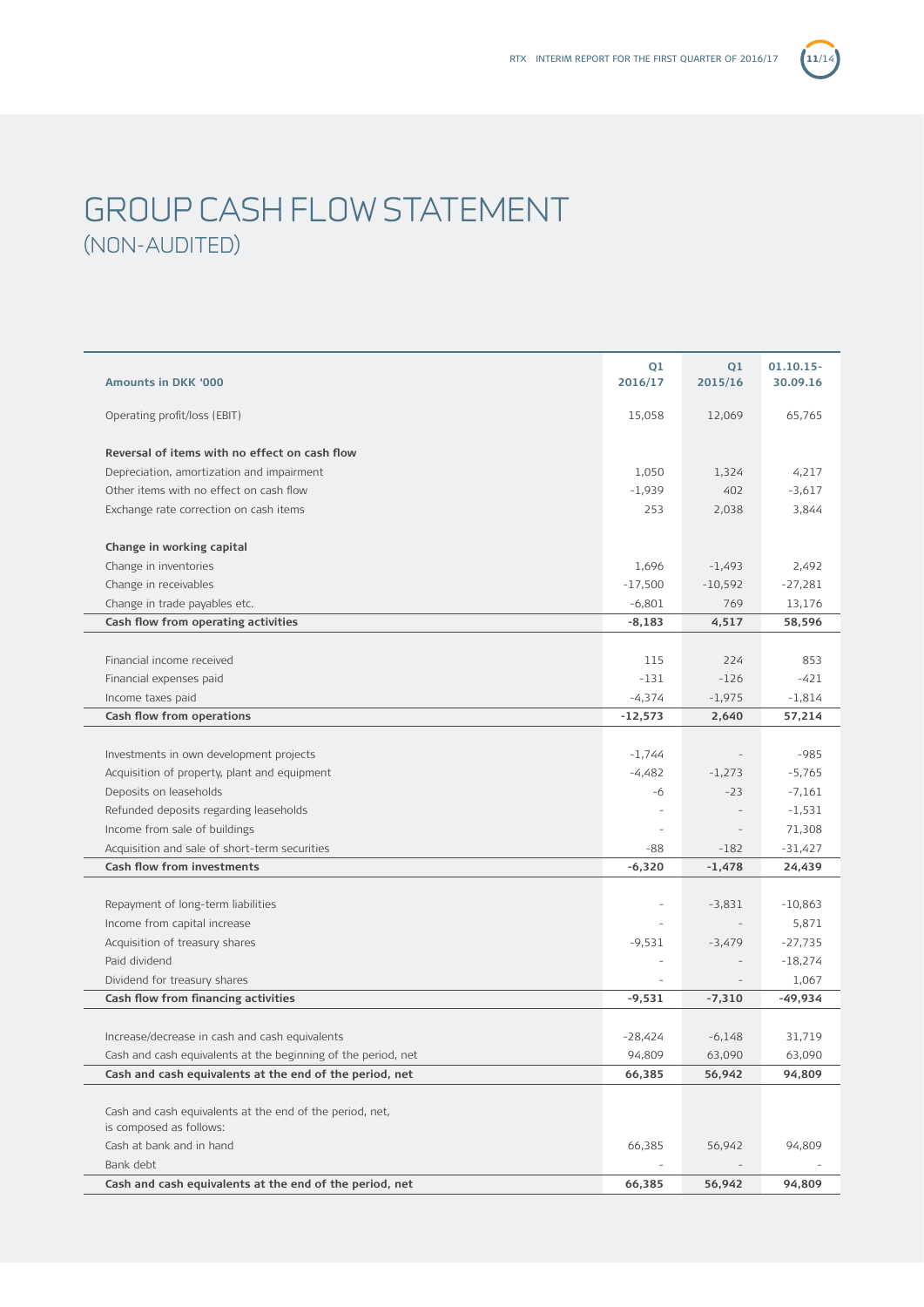

# GROUP CASH FLOW STATEMENT (NON-AUDITED)

| Amounts in DKK '000                                                                 | Q1<br>2016/17            | Q1<br>2015/16 | $01.10.15 -$<br>30.09.16 |
|-------------------------------------------------------------------------------------|--------------------------|---------------|--------------------------|
| Operating profit/loss (EBIT)                                                        | 15,058                   | 12,069        | 65,765                   |
| Reversal of items with no effect on cash flow                                       |                          |               |                          |
| Depreciation, amortization and impairment                                           | 1,050                    | 1,324         | 4,217                    |
| Other items with no effect on cash flow                                             | $-1,939$                 | 402           | $-3,617$                 |
| Exchange rate correction on cash items                                              | 253                      | 2,038         | 3,844                    |
|                                                                                     |                          |               |                          |
| Change in working capital                                                           |                          |               |                          |
| Change in inventories                                                               | 1,696                    | $-1,493$      | 2,492                    |
| Change in receivables                                                               | $-17,500$                | $-10,592$     | $-27,281$                |
| Change in trade payables etc.                                                       | $-6,801$                 | 769           | 13,176                   |
| Cash flow from operating activities                                                 | $-8,183$                 | 4,517         | 58,596                   |
|                                                                                     |                          |               |                          |
| Financial income received                                                           | 115                      | 224           | 853                      |
| Financial expenses paid                                                             | -131                     | $-126$        | $-421$                   |
| Income taxes paid                                                                   | $-4,374$                 | $-1,975$      | $-1,814$                 |
| Cash flow from operations                                                           | $-12,573$                | 2,640         | 57,214                   |
|                                                                                     |                          |               |                          |
| Investments in own development projects                                             | $-1,744$                 |               | $-985$                   |
| Acquisition of property, plant and equipment                                        | $-4,482$                 | $-1,273$      | $-5,765$                 |
| Deposits on leaseholds                                                              | -6                       | $-23$         | $-7,161$                 |
| Refunded deposits regarding leaseholds                                              |                          |               | $-1,531$                 |
| Income from sale of buildings                                                       | $\overline{\phantom{a}}$ |               | 71,308                   |
| Acquisition and sale of short-term securities                                       | -88                      | $-182$        | $-31,427$                |
| <b>Cash flow from investments</b>                                                   | $-6,320$                 | $-1,478$      | 24,439                   |
|                                                                                     |                          |               |                          |
| Repayment of long-term liabilities                                                  | $\overline{\phantom{a}}$ | $-3,831$      | $-10,863$                |
| Income from capital increase                                                        |                          |               | 5,871                    |
| Acquisition of treasury shares                                                      | $-9,531$                 | $-3,479$      | $-27,735$                |
| Paid dividend                                                                       | $\overline{\phantom{a}}$ |               | $-18,274$                |
| Dividend for treasury shares                                                        |                          |               | 1,067                    |
| Cash flow from financing activities                                                 | $-9.531$                 | $-7,310$      | $-49,934$                |
|                                                                                     |                          |               |                          |
| Increase/decrease in cash and cash equivalents                                      | $-28,424$                | $-6,148$      | 31,719                   |
| Cash and cash equivalents at the beginning of the period, net                       | 94,809                   | 63,090        | 63,090                   |
| Cash and cash equivalents at the end of the period, net                             | 66,385                   | 56,942        | 94,809                   |
|                                                                                     |                          |               |                          |
| Cash and cash equivalents at the end of the period, net,<br>is composed as follows: |                          |               |                          |
| Cash at bank and in hand                                                            | 66,385                   | 56,942        | 94,809                   |
| Bank debt                                                                           |                          |               |                          |
| Cash and cash equivalents at the end of the period, net                             | 66,385                   | 56,942        | 94,809                   |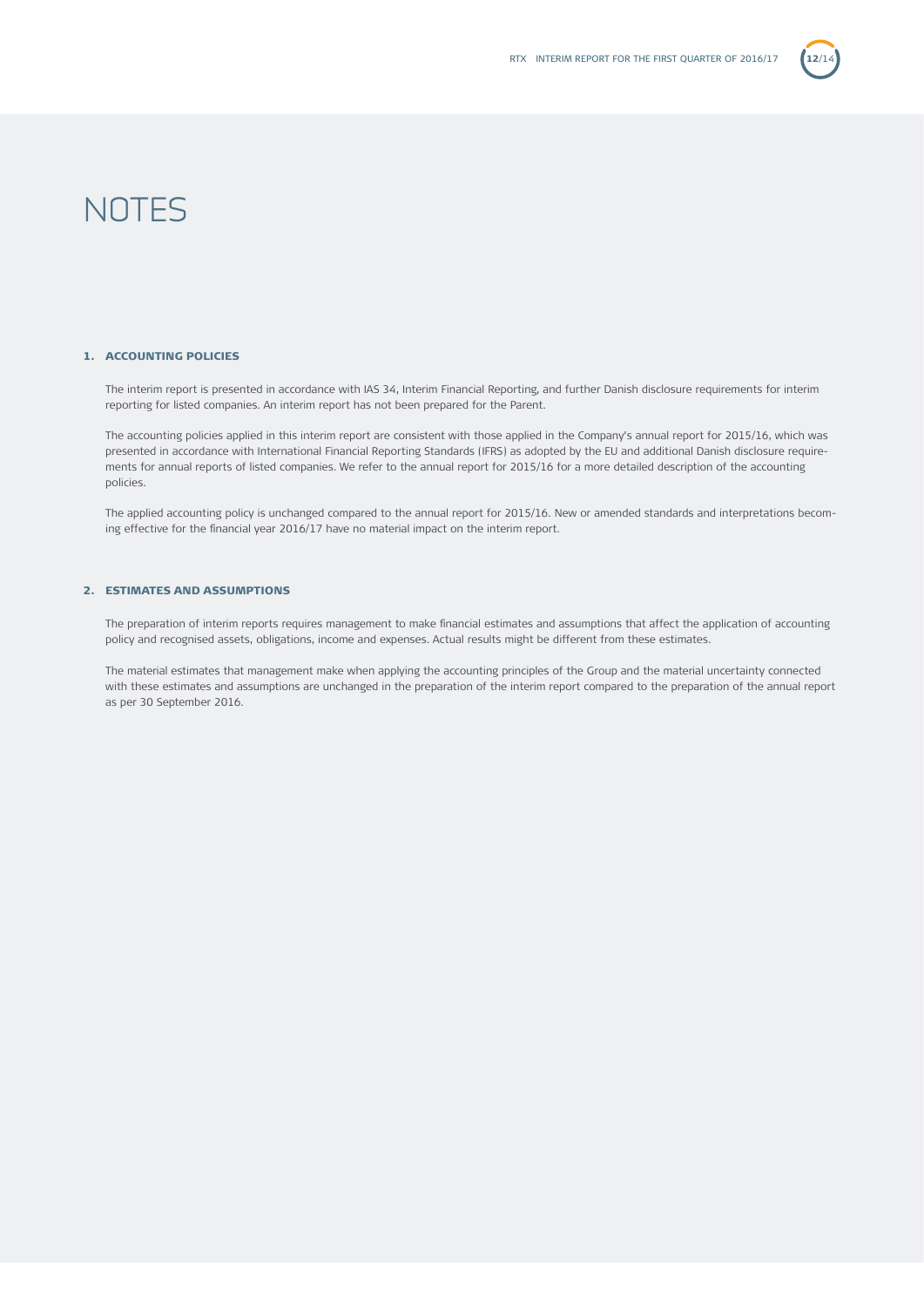

# **NOTES**

### 1. ACCOUNTING POLICIES

The interim report is presented in accordance with IAS 34, Interim Financial Reporting, and further Danish disclosure requirements for interim reporting for listed companies. An interim report has not been prepared for the Parent.

The accounting policies applied in this interim report are consistent with those applied in the Company's annual report for 2015/16, which was presented in accordance with International Financial Reporting Standards (IFRS) as adopted by the EU and additional Danish disclosure requirements for annual reports of listed companies. We refer to the annual report for 2015/16 for a more detailed description of the accounting policies.

The applied accounting policy is unchanged compared to the annual report for 2015/16. New or amended standards and interpretations becoming effective for the financial year 2016/17 have no material impact on the interim report.

### 2. ESTIMATES AND ASSUMPTIONS

The preparation of interim reports requires management to make financial estimates and assumptions that affect the application of accounting policy and recognised assets, obligations, income and expenses. Actual results might be different from these estimates.

The material estimates that management make when applying the accounting principles of the Group and the material uncertainty connected with these estimates and assumptions are unchanged in the preparation of the interim report compared to the preparation of the annual report as per 30 September 2016.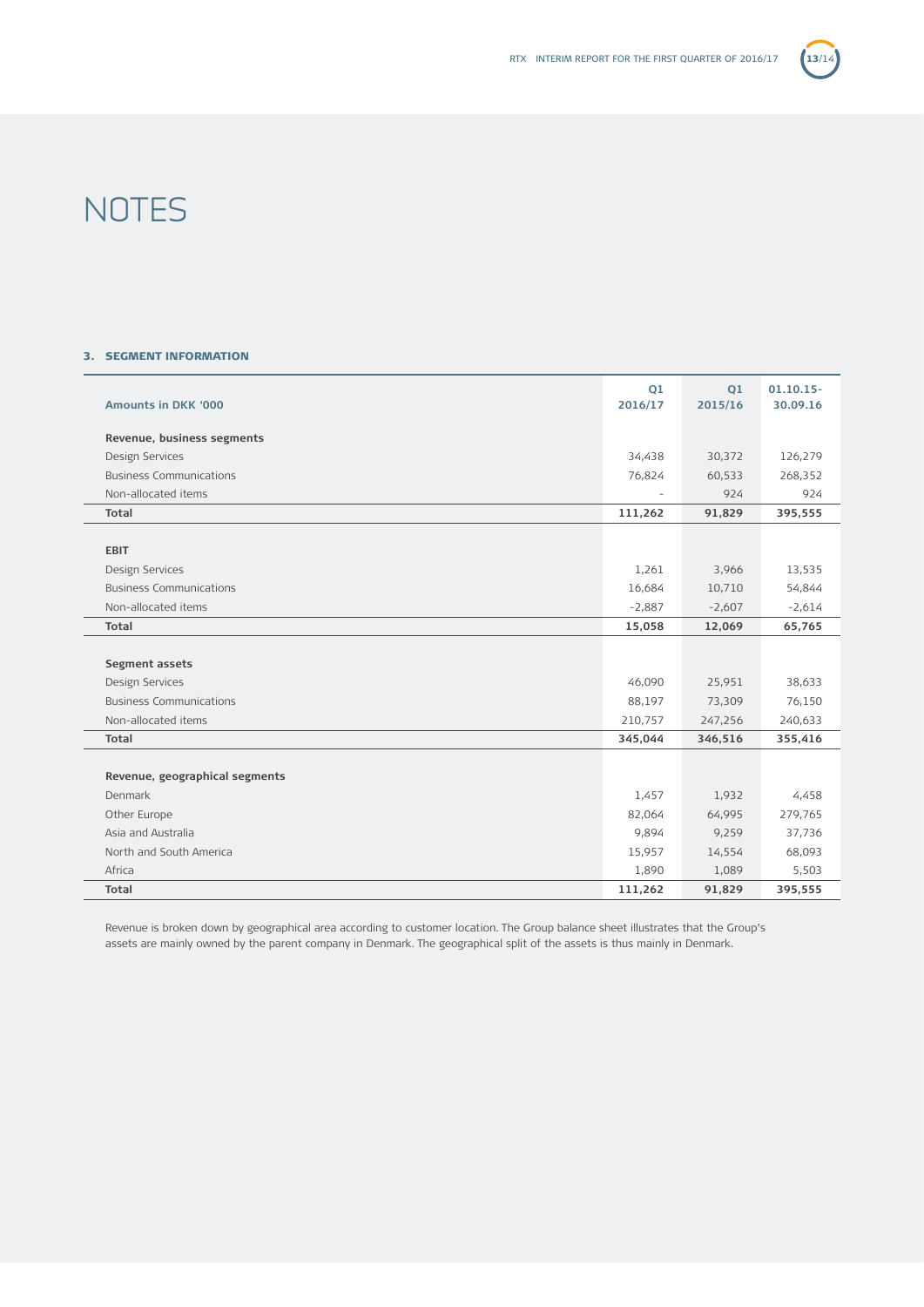

# **NOTES**

## 3. SEGMENT INFORMATION

| <b>Amounts in DKK '000</b>     | Q1<br>2016/17            | Q1<br>2015/16 | $01.10.15 -$<br>30.09.16 |
|--------------------------------|--------------------------|---------------|--------------------------|
| Revenue, business segments     |                          |               |                          |
| Design Services                | 34,438                   | 30,372        | 126,279                  |
| <b>Business Communications</b> | 76,824                   | 60,533        | 268,352                  |
| Non-allocated items            | $\overline{\phantom{a}}$ | 924           | 924                      |
| Total                          | 111,262                  | 91,829        | 395,555                  |
|                                |                          |               |                          |
| <b>EBIT</b>                    |                          |               |                          |
| Design Services                | 1,261                    | 3,966         | 13,535                   |
| <b>Business Communications</b> | 16,684                   | 10,710        | 54,844                   |
| Non-allocated items            | $-2,887$                 | $-2,607$      | $-2,614$                 |
| Total                          | 15,058                   | 12,069        | 65,765                   |
|                                |                          |               |                          |
| Segment assets                 |                          |               |                          |
| Design Services                | 46,090                   | 25,951        | 38,633                   |
| <b>Business Communications</b> | 88,197                   | 73,309        | 76,150                   |
| Non-allocated items            | 210,757                  | 247,256       | 240,633                  |
| Total                          | 345,044                  | 346,516       | 355,416                  |
|                                |                          |               |                          |
| Revenue, geographical segments |                          |               |                          |
| Denmark                        | 1,457                    | 1,932         | 4,458                    |
| Other Europe                   | 82,064                   | 64,995        | 279,765                  |
| Asia and Australia             | 9,894                    | 9,259         | 37,736                   |
| North and South America        | 15,957                   | 14,554        | 68,093                   |
| Africa                         | 1,890                    | 1,089         | 5,503                    |
| Total                          | 111,262                  | 91,829        | 395,555                  |

Revenue is broken down by geographical area according to customer location. The Group balance sheet illustrates that the Group's assets are mainly owned by the parent company in Denmark. The geographical split of the assets is thus mainly in Denmark.